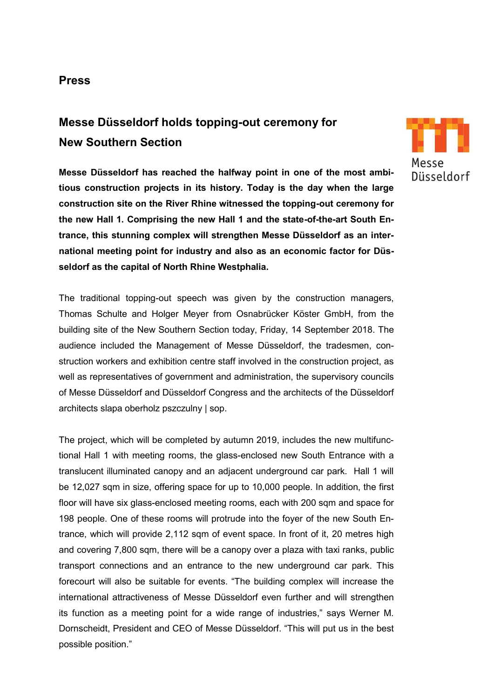## **Press**

# **Messe Düsseldorf holds topping-out ceremony for New Southern Section**

**Messe Düsseldorf has reached the halfway point in one of the most ambitious construction projects in its history. Today is the day when the large construction site on the River Rhine witnessed the topping-out ceremony for the new Hall 1. Comprising the new Hall 1 and the state-of-the-art South Entrance, this stunning complex will strengthen Messe Düsseldorf as an international meeting point for industry and also as an economic factor for Düsseldorf as the capital of North Rhine Westphalia.**

The traditional topping-out speech was given by the construction managers, Thomas Schulte and Holger Meyer from Osnabrücker Köster GmbH, from the building site of the New Southern Section today, Friday, 14 September 2018. The audience included the Management of Messe Düsseldorf, the tradesmen, construction workers and exhibition centre staff involved in the construction project, as well as representatives of government and administration, the supervisory councils of Messe Düsseldorf and Düsseldorf Congress and the architects of the Düsseldorf architects slapa oberholz pszczulny | sop.

The project, which will be completed by autumn 2019, includes the new multifunctional Hall 1 with meeting rooms, the glass-enclosed new South Entrance with a translucent illuminated canopy and an adjacent underground car park. Hall 1 will be 12,027 sqm in size, offering space for up to 10,000 people. In addition, the first floor will have six glass-enclosed meeting rooms, each with 200 sqm and space for 198 people. One of these rooms will protrude into the foyer of the new South Entrance, which will provide 2,112 sqm of event space. In front of it, 20 metres high and covering 7,800 sqm, there will be a canopy over a plaza with taxi ranks, public transport connections and an entrance to the new underground car park. This forecourt will also be suitable for events. "The building complex will increase the international attractiveness of Messe Düsseldorf even further and will strengthen its function as a meeting point for a wide range of industries," says Werner M. Dornscheidt, President and CEO of Messe Düsseldorf. "This will put us in the best possible position."

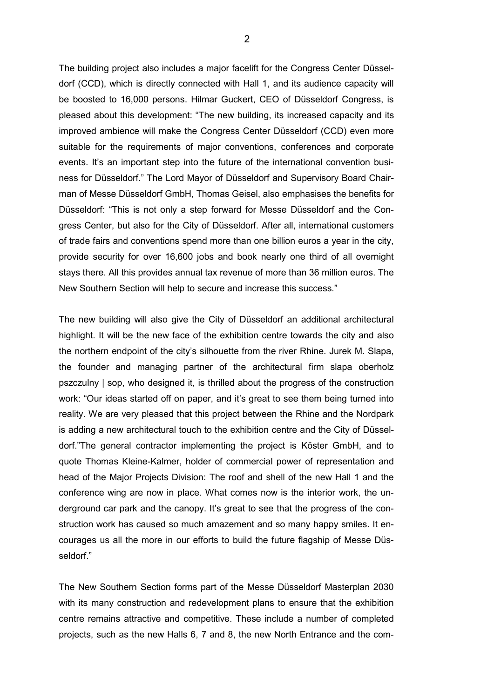The building project also includes a major facelift for the Congress Center Düsseldorf (CCD), which is directly connected with Hall 1, and its audience capacity will be boosted to 16,000 persons. Hilmar Guckert, CEO of Düsseldorf Congress, is pleased about this development: "The new building, its increased capacity and its improved ambience will make the Congress Center Düsseldorf (CCD) even more suitable for the requirements of major conventions, conferences and corporate events. It's an important step into the future of the international convention business for Düsseldorf." The Lord Mayor of Düsseldorf and Supervisory Board Chairman of Messe Düsseldorf GmbH, Thomas Geisel, also emphasises the benefits for Düsseldorf: "This is not only a step forward for Messe Düsseldorf and the Congress Center, but also for the City of Düsseldorf. After all, international customers of trade fairs and conventions spend more than one billion euros a year in the city, provide security for over 16,600 jobs and book nearly one third of all overnight stays there. All this provides annual tax revenue of more than 36 million euros. The New Southern Section will help to secure and increase this success."

The new building will also give the City of Düsseldorf an additional architectural highlight. It will be the new face of the exhibition centre towards the city and also the northern endpoint of the city's silhouette from the river Rhine. Jurek M. Slapa, the founder and managing partner of the architectural firm slapa oberholz pszczulny | sop, who designed it, is thrilled about the progress of the construction work: "Our ideas started off on paper, and it's great to see them being turned into reality. We are very pleased that this project between the Rhine and the Nordpark is adding a new architectural touch to the exhibition centre and the City of Düsseldorf."The general contractor implementing the project is Köster GmbH, and to quote Thomas Kleine-Kalmer, holder of commercial power of representation and head of the Major Projects Division: The roof and shell of the new Hall 1 and the conference wing are now in place. What comes now is the interior work, the underground car park and the canopy. It's great to see that the progress of the construction work has caused so much amazement and so many happy smiles. It encourages us all the more in our efforts to build the future flagship of Messe Düsseldorf."

The New Southern Section forms part of the Messe Düsseldorf Masterplan 2030 with its many construction and redevelopment plans to ensure that the exhibition centre remains attractive and competitive. These include a number of completed projects, such as the new Halls 6, 7 and 8, the new North Entrance and the com-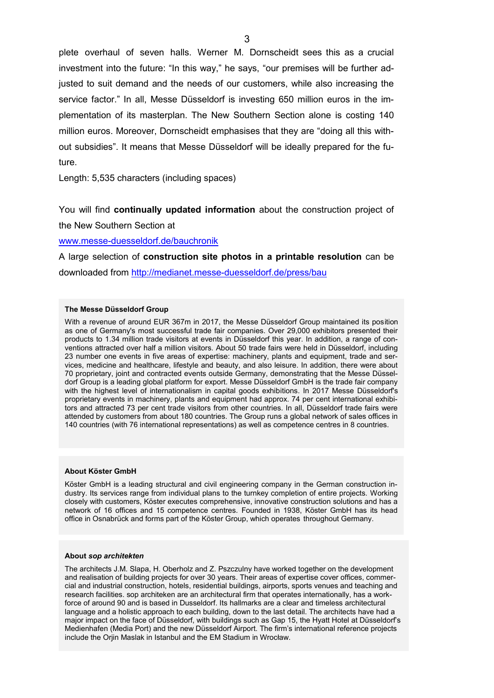plete overhaul of seven halls. Werner M. Dornscheidt sees this as a crucial investment into the future: "In this way," he says, "our premises will be further adjusted to suit demand and the needs of our customers, while also increasing the service factor." In all, Messe Düsseldorf is investing 650 million euros in the implementation of its masterplan. The New Southern Section alone is costing 140 million euros. Moreover, Dornscheidt emphasises that they are "doing all this without subsidies". It means that Messe Düsseldorf will be ideally prepared for the future.

Length: 5,535 characters (including spaces)

You will find **continually updated information** about the construction project of the New Southern Section at

[www.messe-duesseldorf.de/bauchronik](http://www.messe-duesseldorf.de/bauchronik)

A large selection of **construction site photos in a printable resolution** can be downloaded from<http://medianet.messe-duesseldorf.de/press/bau>

### **The Messe Düsseldorf Group**

With a revenue of around EUR 367m in 2017, the Messe Düsseldorf Group maintained its position as one of Germany's most successful trade fair companies. Over 29,000 exhibitors presented their products to 1.34 million trade visitors at events in Düsseldorf this year. In addition, a range of conventions attracted over half a million visitors. About 50 trade fairs were held in Düsseldorf, including 23 number one events in five areas of expertise: machinery, plants and equipment, trade and services, medicine and healthcare, lifestyle and beauty, and also leisure. In addition, there were about 70 proprietary, joint and contracted events outside Germany, demonstrating that the Messe Düsseldorf Group is a leading global platform for export. Messe Düsseldorf GmbH is the trade fair company with the highest level of internationalism in capital goods exhibitions. In 2017 Messe Düsseldorf's proprietary events in machinery, plants and equipment had approx. 74 per cent international exhibitors and attracted 73 per cent trade visitors from other countries. In all, Düsseldorf trade fairs were attended by customers from about 180 countries. The Group runs a global network of sales offices in 140 countries (with 76 international representations) as well as competence centres in 8 countries.

### **About Köster GmbH**

Köster GmbH is a leading structural and civil engineering company in the German construction industry. Its services range from individual plans to the turnkey completion of entire projects. Working closely with customers, Köster executes comprehensive, innovative construction solutions and has a network of 16 offices and 15 competence centres. Founded in 1938, Köster GmbH has its head office in Osnabrück and forms part of the Köster Group, which operates throughout Germany.

### **About** *sop architekten*

The architects J.M. Slapa, H. Oberholz and Z. Pszczulny have worked together on the development and realisation of building projects for over 30 years. Their areas of expertise cover offices, commercial and industrial construction, hotels, residential buildings, airports, sports venues and teaching and research facilities. sop architeken are an architectural firm that operates internationally, has a workforce of around 90 and is based in Dusseldorf. Its hallmarks are a clear and timeless architectural language and a holistic approach to each building, down to the last detail. The architects have had a major impact on the face of Düsseldorf, with buildings such as Gap 15, the Hyatt Hotel at Düsseldorf's Medienhafen (Media Port) and the new Düsseldorf Airport. The firm's international reference projects include the Orjin Maslak in Istanbul and the EM Stadium in Wrocław.